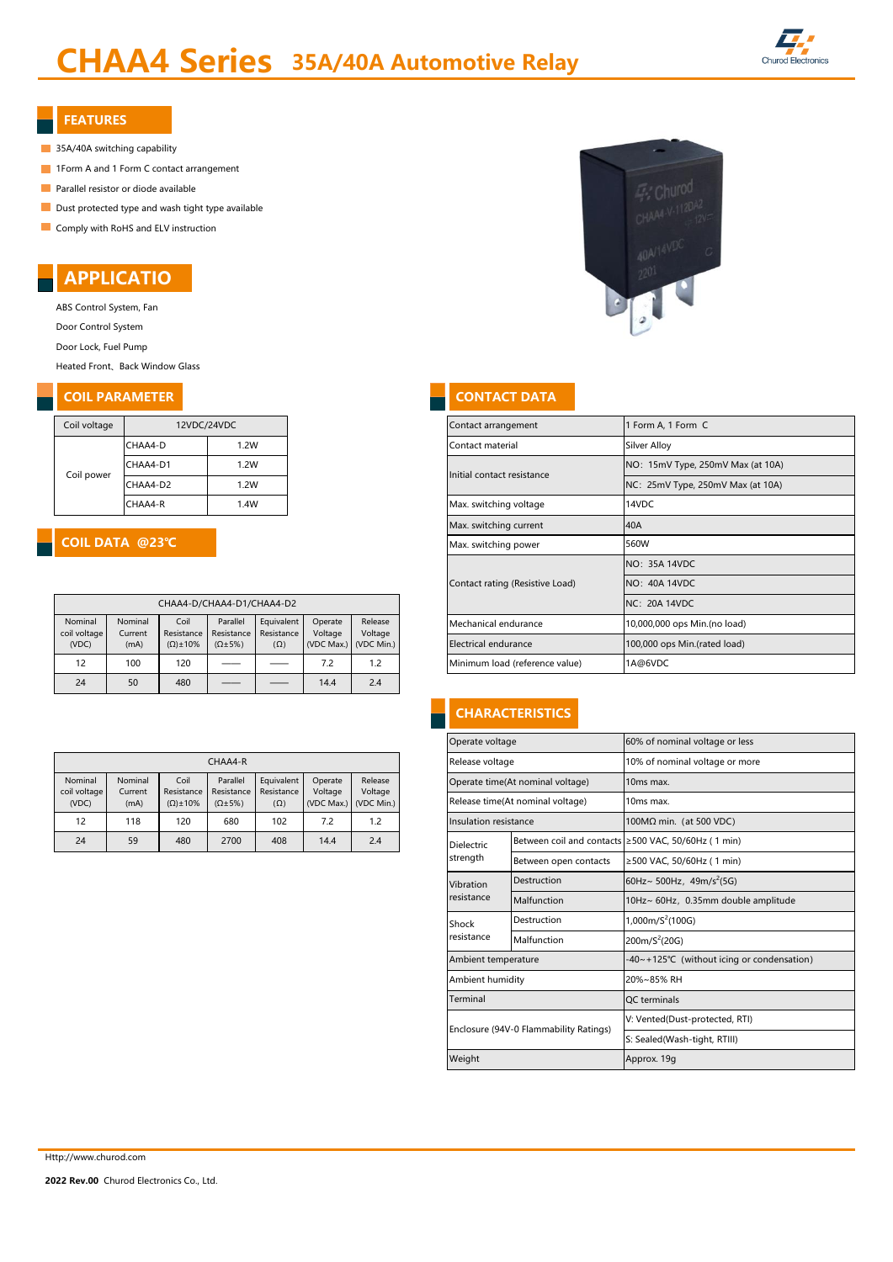# CHAA4 Series 35A/40A Automotive Relay



#### FEATURES

- 35A/40A switching capability
- **1Form A and 1 Form C contact arrangement**
- **Parallel resistor or diode available**
- Dust protected type and wash tight type available
- Comply with RoHS and ELV instruction

# APPLICATIO

ABS Control System, Fan

Door Control System

Door Lock, Fuel Pump

Heated Front、Back Window Glass

#### **COIL PARAMETER CONTACT DATA**

| Coil voltage | 12VDC/24VDC |      |  |  |  |  |  |
|--------------|-------------|------|--|--|--|--|--|
|              | CHAA4-D     | 1.2W |  |  |  |  |  |
| Coil power   | CHAA4-D1    | 1.2W |  |  |  |  |  |
|              | CHAA4-D2    | 1.2W |  |  |  |  |  |
|              | CHAA4-R     | 1.4W |  |  |  |  |  |

#### COIL DATA @23℃

| CHAA4-D/CHAA4-D1/CHAA4-D2        |                            |                                           |                                              |                                        |                                  |                                  |  |  |  |  |  |
|----------------------------------|----------------------------|-------------------------------------------|----------------------------------------------|----------------------------------------|----------------------------------|----------------------------------|--|--|--|--|--|
| Nominal<br>coil voltage<br>(VDC) | Nominal<br>Current<br>(mA) | Coil<br>Resistance<br>$(\Omega) \pm 10\%$ | Parallel<br>Resistance<br>$(\Omega \pm 5\%)$ | Equivalent<br>Resistance<br>$(\Omega)$ | Operate<br>Voltage<br>(VDC Max.) | Release<br>Voltage<br>(VDC Min.) |  |  |  |  |  |
| 12                               | 100                        | 120                                       |                                              |                                        | 7.2                              | 1.2                              |  |  |  |  |  |
| 24                               | 50                         | 480                                       |                                              |                                        | 14.4                             | 2.4                              |  |  |  |  |  |

| CHAA4-R |                         |                    |                     |                        |                          |                                          | Release voltage |                       | 10% of nominal voltage or        |                                                     |  |                                  |                       |
|---------|-------------------------|--------------------|---------------------|------------------------|--------------------------|------------------------------------------|-----------------|-----------------------|----------------------------------|-----------------------------------------------------|--|----------------------------------|-----------------------|
|         | Nominal<br>coil voltage | Nominal<br>Current | Coil<br>Resistance  | Parallel<br>Resistance | Equivalent<br>Resistance | Release<br>Operate<br>Voltage<br>Voltage |                 |                       | Operate time(At nominal voltage) | 10 <sub>ms</sub> max.                               |  |                                  |                       |
|         | (VDC)                   | (mA)               | $(\Omega) \pm 10\%$ | $(\Omega \pm 5\%)$     | $(\Omega)$               |                                          |                 |                       | (VDC Max.) (VDC Min.)            |                                                     |  | Release time(At nominal voltage) | 10 <sub>ms</sub> max. |
|         | 12                      | 118                | 120                 | 680                    | 102                      | 7.2                                      | 1.2             | Insulation resistance |                                  | $100MΩ$ min. (at 500 VDC)                           |  |                                  |                       |
|         | 24                      | 59                 | 480                 | 2700                   | 408                      | 14.4                                     | 2.4             | Dielectric            |                                  | Between coil and contacts ≥500 VAC, 50/60Hz (1 min) |  |                                  |                       |



| Coil voltage           |                    | 12VDC/24VDC         |                           |                                                |                        |                    |                      | Contact arrangement             | Form A, 1 Form C                  |
|------------------------|--------------------|---------------------|---------------------------|------------------------------------------------|------------------------|--------------------|----------------------|---------------------------------|-----------------------------------|
|                        | CHAA4-D            |                     | 1.2W                      |                                                |                        |                    |                      | Contact material                | Silver Alloy                      |
| Coil power             | CHAA4-D1           |                     | 1.2W                      |                                                |                        |                    |                      | Initial contact resistance      | NO: 15mV Type, 250mV Max (at 10A) |
|                        | CHAA4-D2           |                     | 1.2W                      |                                                |                        |                    |                      |                                 | NC: 25mV Type, 250mV Max (at 10A) |
|                        | CHAA4-R            |                     | 1.4W                      |                                                |                        |                    |                      | Max. switching voltage          | 14VDC                             |
|                        |                    |                     |                           |                                                | Max. switching current | 40A                |                      |                                 |                                   |
| COIL DATA @23℃         |                    |                     |                           | Max. switching power                           | 560W                   |                    |                      |                                 |                                   |
|                        |                    |                     |                           |                                                | NO: 35A 14VDC          |                    |                      |                                 |                                   |
|                        |                    |                     |                           |                                                |                        |                    |                      | Contact rating (Resistive Load) | NO: 40A 14VDC                     |
|                        |                    |                     | CHAA4-D/CHAA4-D1/CHAA4-D2 |                                                |                        |                    |                      |                                 | <b>NC: 20A 14VDC</b>              |
| Nominal<br>oil voltage | Nominal<br>Current | Coil<br>Resistance  | Parallel<br>Resistance    | Equivalent<br>Resistance                       | Operate                | Release<br>Voltage |                      | Mechanical endurance            | 10,000,000 ops Min.(no load)      |
| (VDC)                  | (mA)               | $(\Omega) \pm 10\%$ | $(\Omega \pm 5\%)$        | Voltage<br>(VDC Max.) (VDC Min.)<br>$(\Omega)$ |                        |                    | Electrical endurance | 100,000 ops Min.(rated load)    |                                   |
| 12                     | 100                | 120                 |                           |                                                | 7.2                    | 1.2                |                      | Minimum load (reference value)  | 1A@6VDC                           |

# **CHARACTERISTICS**

|                        |                          |                    |                    |             | Operate voltage                        |                       | 60% of nominal voltage or less                      |  |  |
|------------------------|--------------------------|--------------------|--------------------|-------------|----------------------------------------|-----------------------|-----------------------------------------------------|--|--|
| CHAA4-R                |                          |                    |                    |             | Release voltage                        |                       | 10% of nominal voltage or more                      |  |  |
| Parallel<br>Resistance | Equivalent<br>Resistance | Operate<br>Voltage | Release<br>Voltage |             | Operate time(At nominal voltage)       |                       | 10ms max.                                           |  |  |
| $(\Omega \pm 5\%)$     | $(\Omega)$               | (VDC Max.)         | (VDC Min.)         |             | Release time(At nominal voltage)       |                       | 10ms max.                                           |  |  |
| 680                    | 102                      | 7.2                | 1.2                |             | Insulation resistance                  |                       | 100MΩ min. (at 500 VDC)                             |  |  |
| 2700                   | 408                      | 14.4               | 2.4                |             | <b>Dielectric</b>                      |                       | Between coil and contacts ≥500 VAC, 50/60Hz (1 min) |  |  |
|                        |                          |                    |                    |             | strength                               | Between open contacts | ≥500 VAC, 50/60Hz ( 1 min)                          |  |  |
|                        | Vibration                |                    |                    | Destruction | 60Hz~ 500Hz, 49m/s <sup>2</sup> (5G)   |                       |                                                     |  |  |
|                        |                          |                    |                    |             | resistance                             | Malfunction           | 10Hz~ 60Hz, 0.35mm double amplitude                 |  |  |
|                        |                          |                    |                    |             | Shock                                  | Destruction           | $1,000 \text{m/S}^2 (100 \text{G})$                 |  |  |
|                        |                          |                    |                    |             | resistance                             | Malfunction           | 200m/S <sup>2</sup> (20G)                           |  |  |
|                        |                          |                    |                    |             | Ambient temperature                    |                       | -40~+125°C (without icing or condensation)          |  |  |
|                        |                          |                    |                    |             | Ambient humidity                       |                       | 20%~85% RH                                          |  |  |
|                        |                          |                    |                    |             | Terminal                               |                       | QC terminals                                        |  |  |
|                        |                          |                    |                    |             |                                        |                       | V: Vented(Dust-protected, RTI)                      |  |  |
|                        |                          |                    |                    |             | Enclosure (94V-0 Flammability Ratings) |                       | S: Sealed(Wash-tight, RTIII)                        |  |  |
|                        |                          |                    |                    |             | Weight                                 |                       | Approx. 19g                                         |  |  |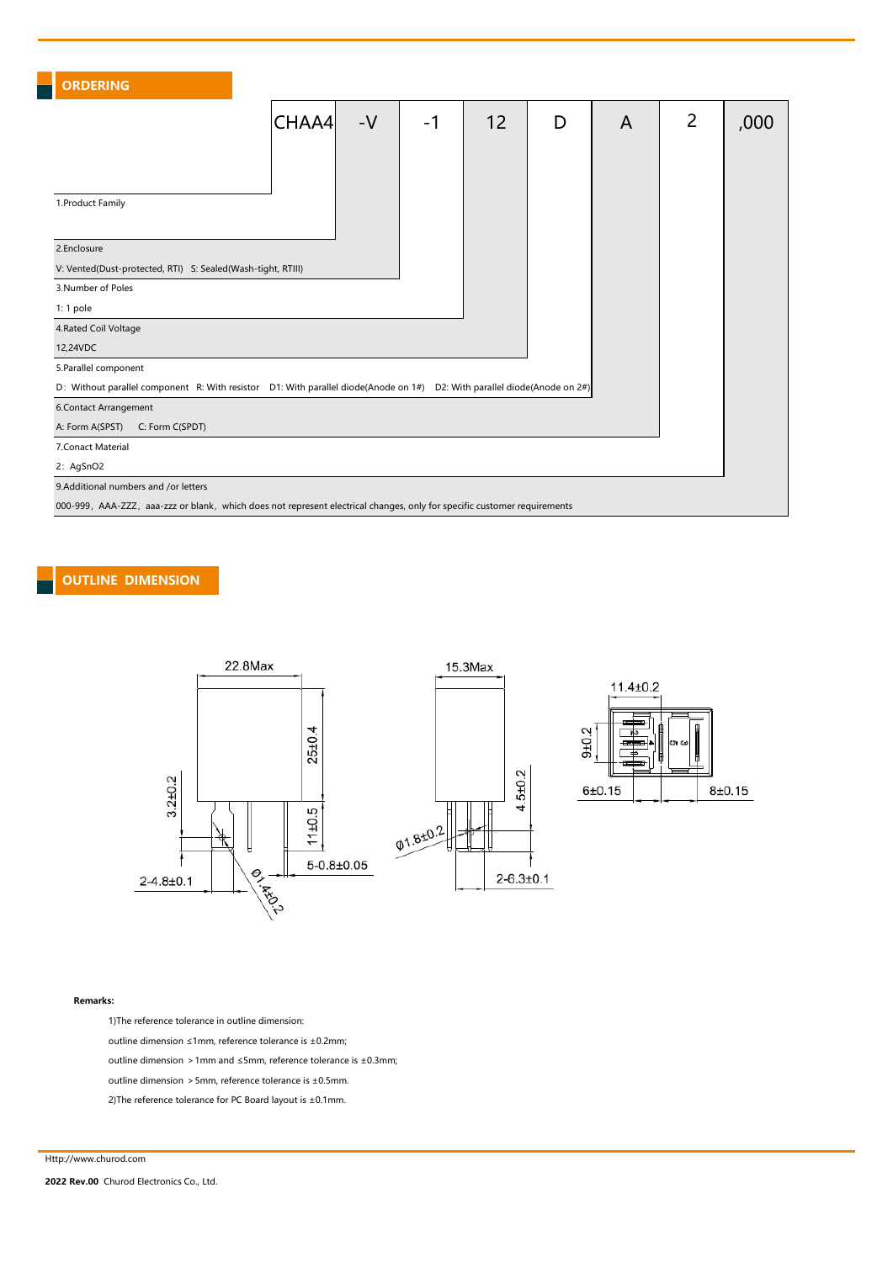# ORDERING

|                                                                                                                          | CHAA4 | $-V$ | $-1$ | 12 | D | A | 2 | ,000 |
|--------------------------------------------------------------------------------------------------------------------------|-------|------|------|----|---|---|---|------|
|                                                                                                                          |       |      |      |    |   |   |   |      |
|                                                                                                                          |       |      |      |    |   |   |   |      |
| 1. Product Family                                                                                                        |       |      |      |    |   |   |   |      |
|                                                                                                                          |       |      |      |    |   |   |   |      |
| 2.Enclosure                                                                                                              |       |      |      |    |   |   |   |      |
| V: Vented(Dust-protected, RTI) S: Sealed(Wash-tight, RTIII)                                                              |       |      |      |    |   |   |   |      |
| 3. Number of Poles                                                                                                       |       |      |      |    |   |   |   |      |
| 1:1 pole                                                                                                                 |       |      |      |    |   |   |   |      |
| 4. Rated Coil Voltage                                                                                                    |       |      |      |    |   |   |   |      |
| 12,24VDC                                                                                                                 |       |      |      |    |   |   |   |      |
| 5. Parallel component                                                                                                    |       |      |      |    |   |   |   |      |
| D: Without parallel component R: With resistor D1: With parallel diode(Anode on 1#) D2: With parallel diode(Anode on 2#) |       |      |      |    |   |   |   |      |
| 6.Contact Arrangement                                                                                                    |       |      |      |    |   |   |   |      |
| A: Form A(SPST)<br>C: Form C(SPDT)                                                                                       |       |      |      |    |   |   |   |      |
| 7. Conact Material                                                                                                       |       |      |      |    |   |   |   |      |
| 2: AgSnO2                                                                                                                |       |      |      |    |   |   |   |      |
| 9.Additional numbers and /or letters                                                                                     |       |      |      |    |   |   |   |      |
| 000-999, AAA-ZZZ, aaa-zzz or blank, which does not represent electrical changes, only for specific customer requirements |       |      |      |    |   |   |   |      |

## OUTLINE DIMENSION





#### Remarks:

1)The reference tolerance in outline dimension:

outline dimension ≤1mm, reference tolerance is ±0.2mm;

outline dimension >1mm and ≤5mm, reference tolerance is ±0.3mm;

outline dimension  $>5$ mm, reference tolerance is  $\pm$ 0.5mm.

2)The reference tolerance for PC Board layout is  $\pm$ 0.1mm.